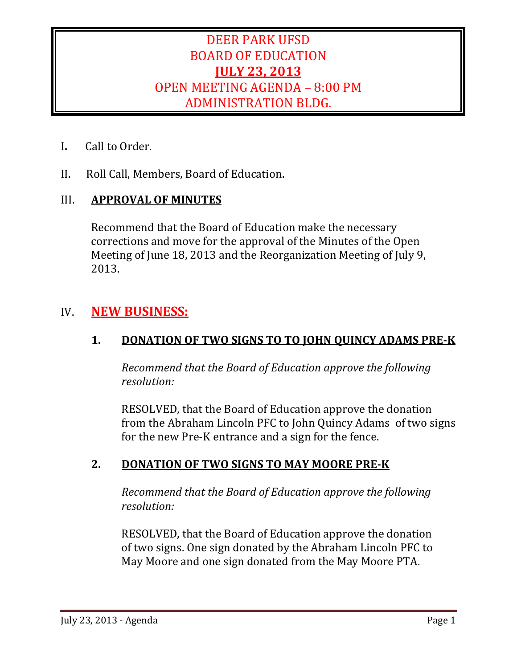# DEER PARK UFSD BOARD OF EDUCATION **JULY 23, 2013** OPEN MEETING AGENDA - 8:00 PM ADMINISTRATION BLDG.

- **I.** Call to Order.
- II. Roll Call, Members, Board of Education.

# III. **APPROVAL OF MINUTES**

Recommend that the Board of Education make the necessary corrections and move for the approval of the Minutes of the Open Meeting of June 18, 2013 and the Reorganization Meeting of July 9. 2013. 

# IV. **NEW BUSINESS:**

# **1. DONATION OF TWO SIGNS TO TO JOHN QUINCY ADAMS PRE‐K**

 *Recommend that the Board of Education approve the following resolution:*

**RESOLVED, that the Board of Education approve the donation** from the Abraham Lincoln PFC to John Quincy Adams of two signs for the new Pre-K entrance and a sign for the fence.

# **2. DONATION OF TWO SIGNS TO MAY MOORE PRE‐K**

 *Recommend that the Board of Education approve the following resolution:*

**RESOLVED, that the Board of Education approve the donation** of two signs. One sign donated by the Abraham Lincoln PFC to May Moore and one sign donated from the May Moore PTA.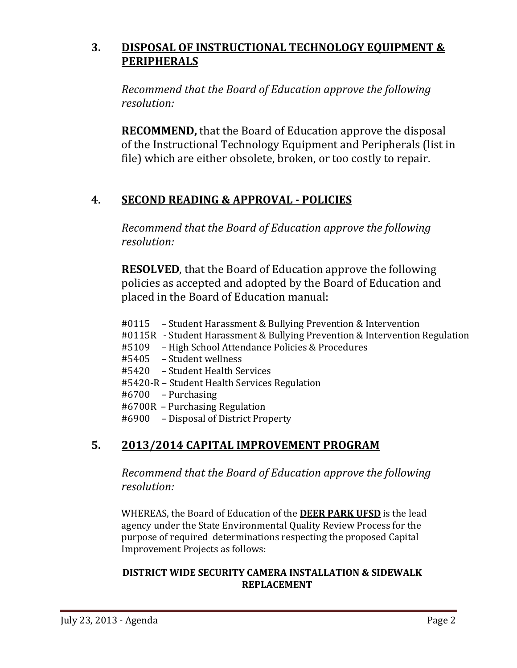# **3. DISPOSAL OF INSTRUCTIONAL TECHNOLOGY EQUIPMENT & PERIPHERALS**

 *Recommend that the Board of Education approve the following resolution:*

**RECOMMEND,** that the Board of Education approve the disposal of the Instructional Technology Equipment and Peripherals (list in file) which are either obsolete, broken, or too costly to repair.

# **4. SECOND READING & APPROVAL ‐ POLICIES**

 *Recommend that the Board of Education approve the following resolution:*

**RESOLVED**, that the Board of Education approve the following policies as accepted and adopted by the Board of Education and placed in the Board of Education manual:

- #0115 Student Harassment & Bullying Prevention & Intervention
- #0115R Student Harassment & Bullying Prevention & Intervention Regulation
- #5109 High School Attendance Policies & Procedures
- #5405 Student wellness
- #5420 Student Health Services
- #5420-R Student Health Services Regulation
- $#6700$  Purchasing
- #6700R Purchasing Regulation
- #6900 – Disposal of District Property

# 5. 2013/2014 CAPITAL **IMPROVEMENT** PROGRAM

 *Recommend that the Board of Education approve the following resolution:*

WHEREAS, the Board of Education of the **DEER PARK UFSD** is the lead agency under the State Environmental Quality Review Process for the purpose of required determinations respecting the proposed Capital Improvement Projects as follows:

### **DISTRICT WIDE SECURITY CAMERA INSTALLATION & SIDEWALK REPLACEMENT**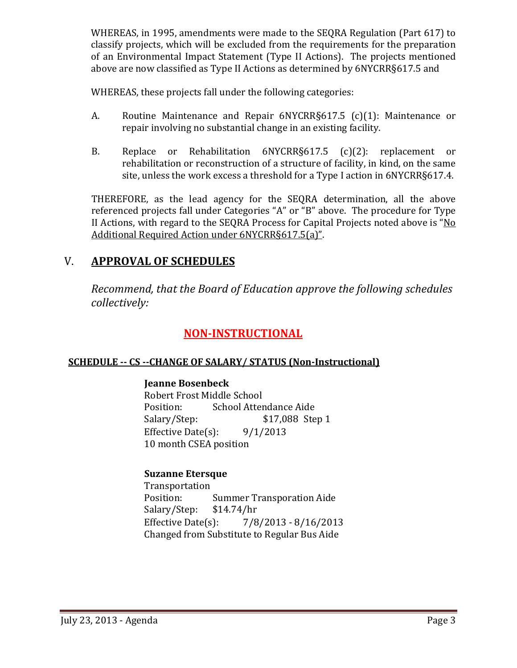WHEREAS, in 1995, amendments were made to the SEQRA Regulation (Part 617) to classify projects, which will be excluded from the requirements for the preparation of an Environmental Impact Statement (Type II Actions). The projects mentioned above are now classified as Type II Actions as determined by 6NYCRR§617.5 and

WHEREAS, these projects fall under the following categories:

- A. Routine Maintenance and Repair 6NYCRR§617.5 (c)(1): Maintenance or repair involving no substantial change in an existing facility.
- B. Replace or Rehabilitation 6NYCRR§617.5 (c)(2): replacement or rehabilitation or reconstruction of a structure of facility, in kind, on the same site, unless the work excess a threshold for a Type I action in 6NYCRR§617.4.

THEREFORE, as the lead agency for the SEQRA determination, all the above referenced projects fall under Categories "A" or "B" above. The procedure for Type II Actions, with regard to the SEQRA Process for Capital Projects noted above is "No Additional Required Action under 6NYCRR§617.5(a)".

# V. **APPROVAL OF SCHEDULES**

*Recommend, that the Board of Education approve the following schedules collectively:*

# **NON‐INSTRUCTIONAL**

### **SCHEDULE ‐‐ CS ‐‐CHANGE OF SALARY/ STATUS (Non‐Instructional)**

### **Jeanne Bosenbeck**

Robert Frost Middle School Position: School Attendance Aide Salary/Step: \$17,088 Step 1 Effective Date(s):  $9/1/2013$ 10 month CSEA position

### **Suzanne Etersque**

 Transportation Position: Summer Transporation Aide Salary/Step: \$14.74/hr Effective Date(s):  $\frac{7}{8}/2013 - \frac{8}{16}/2013$ Changed from Substitute to Regular Bus Aide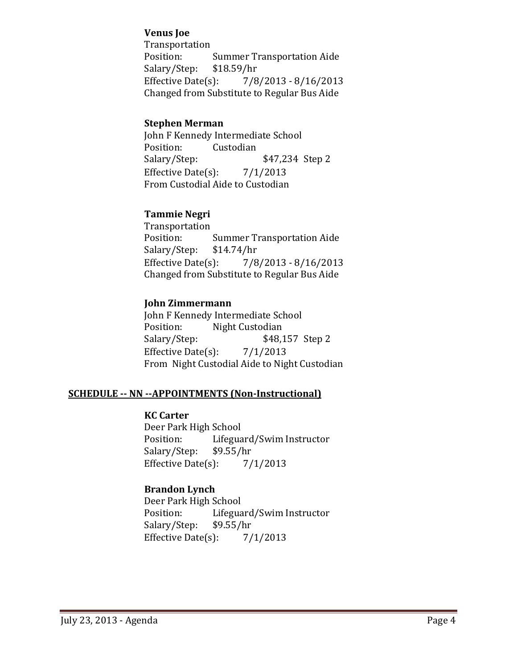### **Venus Joe**

 Transportation Position: Summer Transportation Aide Salary/Step: \$18.59/hr Effective Date(s):  $\frac{7}{8}/2013 - \frac{8}{16}/2013$ Changed from Substitute to Regular Bus Aide

### **Stephen Merman**

John F Kennedy Intermediate School Position: Custodian Salary/Step:  $$47,234$  Step 2 Effective Date(s):  $\frac{7}{1/2013}$ From Custodial Aide to Custodian

### **Tammie Negri**

 Transportation Position: Summer Transportation Aide Salary/Step: \$14.74/hr Effective Date(s):  $\frac{7}{8}/2013 - \frac{8}{16}/2013$ Changed from Substitute to Regular Bus Aide

### **John Zimmermann**

John F Kennedy Intermediate School Position: Night Custodian Salary/Step:  $$48,157$  Step 2 Effective Date(s):  $7/1/2013$ From Night Custodial Aide to Night Custodian

### **SCHEDULE ‐‐ NN ‐‐APPOINTMENTS (Non‐Instructional)**

### **KC Carter**

Deer Park High School Position: Lifeguard/Swim Instructor Salary/Step: \$9.55/hr Effective Date(s):  $7/1/2013$ 

### **Brandon Lynch**

Deer Park High School Position: Lifeguard/Swim Instructor Salary/Step: \$9.55/hr Effective Date(s):  $\frac{7}{1/2013}$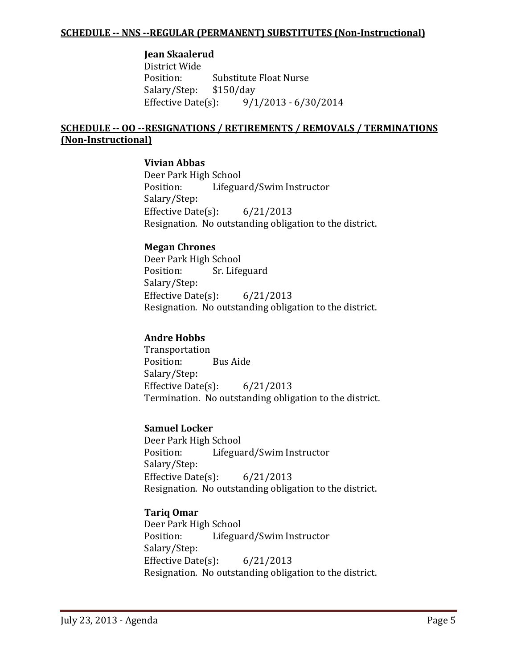#### **SCHEDULE ‐‐ NNS ‐‐REGULAR (PERMANENT) SUBSTITUTES (Non‐Instructional)**

#### **Jean Skaalerud**

District Wide Position: Substitute Float Nurse Salary/Step: \$150/day Effective Date(s):  $9/1/2013 - 6/30/2014$ 

### **SCHEDULE ‐‐ OO ‐‐RESIGNATIONS / RETIREMENTS / REMOVALS / TERMINATIONS (Non‐Instructional)**

#### **Vivian Abbas**

Deer Park High School Position: Lifeguard/Swim Instructor Salary/Step: Effective Date(s):  $6/21/2013$ Resignation. No outstanding obligation to the district.

#### **Megan Chrones**

Deer Park High School Position: Sr. Lifeguard Salary/Step: Effective Date(s):  $6/21/2013$ Resignation. No outstanding obligation to the district.

### **Andre Hobbs**

 Transportation Position: Bus Aide Salary/Step: Effective Date(s):  $6/21/2013$ Termination. No outstanding obligation to the district.

### **Samuel Locker**

Deer Park High School Position: Lifeguard/Swim Instructor Salary/Step: Effective Date(s):  $6/21/2013$ Resignation. No outstanding obligation to the district.

### **Tariq Omar**

Deer Park High School Position: Lifeguard/Swim Instructor Salary/Step: Effective Date(s):  $6/21/2013$ Resignation. No outstanding obligation to the district.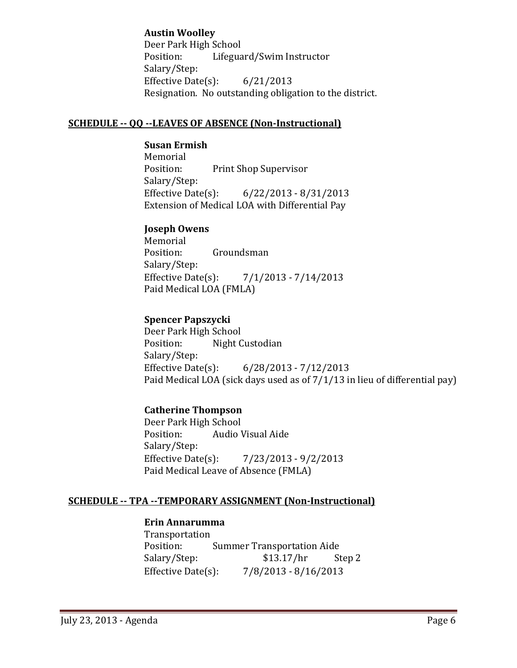### **Austin Woolley**

Deer Park High School Position: Lifeguard/Swim Instructor Salary/Step: Effective Date(s):  $6/21/2013$ Resignation. No outstanding obligation to the district.

### **SCHEDULE ‐‐ QQ ‐‐LEAVES OF ABSENCE (Non‐Instructional)**

### **Susan Ermish**

 Memorial Position: Print Shop Supervisor Salary/Step: Effective Date(s):  $6/22/2013 - 8/31/2013$ Extension of Medical LOA with Differential Pay

### **Joseph Owens**

 Memorial Position: Groundsman Salary/Step: Effective Date(s):  $\frac{7}{1/2013} - \frac{7}{14/2013}$ Paid Medical LOA (FMLA)

### **Spencer Papszycki**

Deer Park High School Position: Night Custodian Salary/Step: Effective Date(s):  $6/28/2013 - 7/12/2013$ Paid Medical LOA (sick days used as of  $7/1/13$  in lieu of differential pay)

### **Catherine Thompson**

Deer Park High School Position: Audio Visual Aide Salary/Step: Effective Date(s):  $\frac{7}{23/2013} - \frac{9}{2/2013}$ Paid Medical Leave of Absence (FMLA)

### **SCHEDULE ‐‐ TPA ‐‐TEMPORARY ASSIGNMENT (Non‐Instructional)**

### **Erin Annarumma**

 Transportation Position: Summer Transportation Aide Salary/Step:  $$13.17/hr$  Step 2 Effective Date(s): 7/8/2013 - 8/16/2013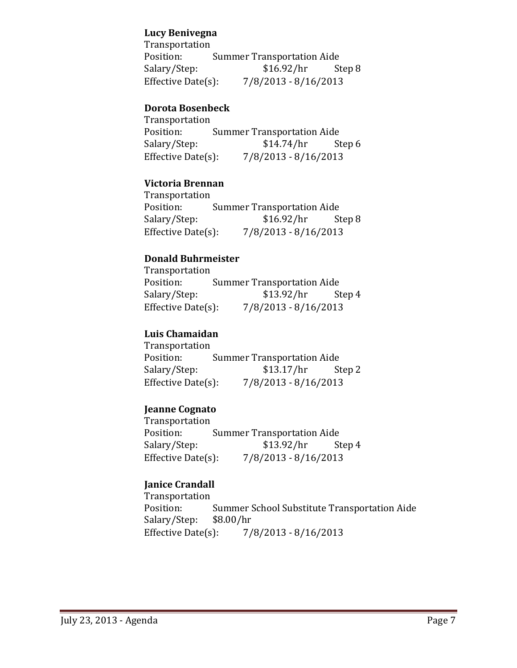### **Lucy Benivegna**

 Transportation Position: Summer Transportation Aide Salary/Step: \$16.92/hr Step 8 Effective Date(s):  $\frac{7}{8}/2013 - \frac{8}{16}/2013$ 

### **Dorota Bosenbeck**

 Transportation Position: Summer Transportation Aide Salary/Step:  $$14.74/hr$  Step 6 Effective Date(s):  $7/8/2013 - 8/16/2013$ 

### **Victoria Brennan**

 Transportation Position: Summer Transportation Aide Salary/Step:  $$16.92/hr$  Step 8 Effective Date(s):  $\frac{7}{8}/2013 - \frac{8}{16}/2013$ 

### **Donald Buhrmeister**

| Transportation         |                                   |
|------------------------|-----------------------------------|
| Position:              | <b>Summer Transportation Aide</b> |
| Salary/Step:           | \$13.92/hr<br>Step 4              |
| Effective Date $(s)$ : | $7/8/2013 - 8/16/2013$            |

### **Luis Chamaidan**

 Transportation Position: Summer Transportation Aide Salary/Step:  $$13.17/hr$  Step 2 Effective Date(s):  $\frac{7}{8}/2013 - \frac{8}{16}/2013$ 

### **Jeanne Cognato**

 Transportation Position: Summer Transportation Aide Salary/Step:  $$13.92/hr$  Step 4 Effective Date(s):  $\frac{7}{8}/2013 - \frac{8}{16}/2013$ 

### **Janice Crandall**

 Transportation Position: Summer School Substitute Transportation Aide Salary/Step: \$8.00/hr Effective Date(s):  $\frac{7}{8}/2013 - \frac{8}{16}/2013$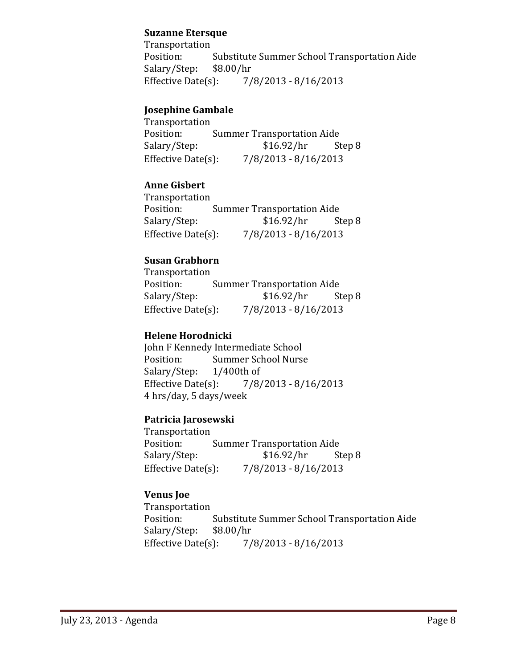### **Suzanne Etersque**

 Transportation Position: Substitute Summer School Transportation Aide Salary/Step: \$8.00/hr Effective Date(s):  $7/8/2013 - 8/16/2013$ 

### **Josephine Gambale**

 Transportation Position: Summer Transportation Aide Salary/Step:  $$16.92/hr$  Step 8 Effective Date(s):  $\frac{7}{8}/2013 - \frac{8}{16}/2013$ 

### **Anne Gisbert**

 Transportation Position: Summer Transportation Aide Salary/Step:  $$16.92/hr$  Step 8 Effective Date(s): 7/8/2013 - 8/16/2013

### **Susan Grabhorn**

 Transportation Position: Summer Transportation Aide Salary/Step: \$16.92/hr Step 8 Effective Date(s):  $\frac{7}{8}/2013 - \frac{8}{16}/2013$ 

### **Helene Horodnicki**

John F Kennedy Intermediate School Position: Summer School Nurse Salary/Step: 1/400th of Effective Date(s):  $\frac{7}{8}/2013 - \frac{8}{16}/2013$  4 hrs/day, 5 days/week 

### **Patricia Jarosewski**

 Transportation Position: Summer Transportation Aide Salary/Step:  $$16.92/hr$  Step 8 Effective Date(s):  $\frac{7}{8}/2013 - \frac{8}{16}/2013$ 

### **Venus Joe**

 Transportation Position: Substitute Summer School Transportation Aide Salary/Step: \$8.00/hr Effective Date(s):  $\frac{7}{8}/2013 - \frac{8}{16}/2013$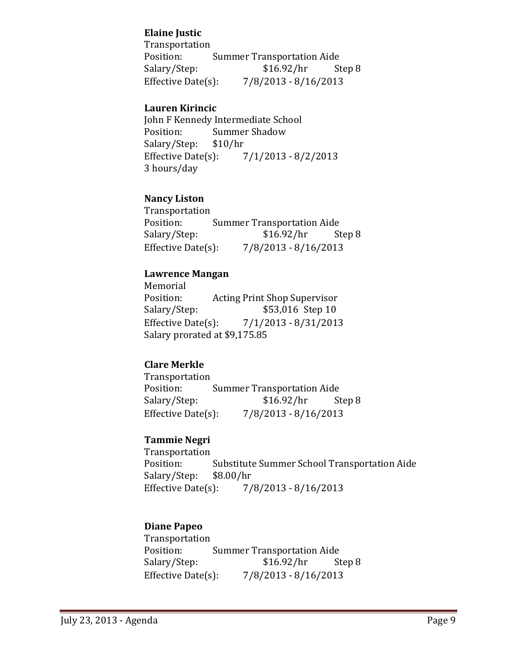### **Elaine Justic**

 Transportation Position: Summer Transportation Aide Salary/Step:  $$16.92/hr$  Step 8 Effective Date(s):  $\frac{7}{8}/2013 - \frac{8}{16}/2013$ 

### **Lauren Kirincic**

John F Kennedy Intermediate School Position: Summer Shadow Salary/Step: \$10/hr Effective Date(s):  $\frac{7}{1/2013} - \frac{8}{2/2013}$  3 hours/day

### **Nancy Liston**

 Transportation Position: Summer Transportation Aide Salary/Step:  $$16.92/hr$  Step 8 Effective Date(s):  $\frac{7}{8}/2013 - \frac{8}{16}/2013$ 

### **Lawrence Mangan**

 Memorial Position: Acting Print Shop Supervisor Salary/Step: \$53,016 Step 10 Effective Date(s):  $\frac{7}{1/2013} - \frac{8}{31/2013}$ Salary prorated at \$9,175.85

### **Clare Merkle**

 Transportation Position: Summer Transportation Aide Salary/Step:  $$16.92/hr$  Step 8 Effective Date(s):  $\frac{7}{8}/2013 - \frac{8}{16}/2013$ 

### **Tammie Negri**

 Transportation Position: Substitute Summer School Transportation Aide Salary/Step: \$8.00/hr Effective Date(s):  $7/8/2013 - 8/16/2013$ 

### **Diane Papeo**

 Transportation Position: Summer Transportation Aide Salary/Step:  $$16.92/hr$  Step 8 Effective Date(s):  $\frac{7}{8}/2013 - \frac{8}{16}/2013$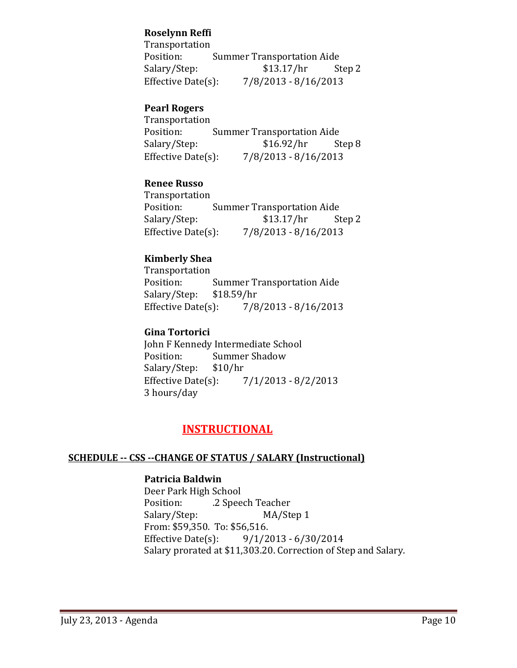### **Roselynn Reffi**

 Transportation Position: Summer Transportation Aide Salary/Step:  $$13.17/hr$  Step 2 Effective Date(s):  $7/8/2013 - 8/16/2013$ 

### **Pearl Rogers**

 Transportation Position: Summer Transportation Aide Salary/Step:  $$16.92/hr$  Step 8 Effective Date(s):  $\frac{7}{8}/2013 - \frac{8}{16}/2013$ 

### **Renee Russo**

 Transportation Position: Summer Transportation Aide Salary/Step:  $$13.17/hr$  Step 2 Effective Date(s):  $\frac{7}{8}/2013 - \frac{8}{16}/2013$ 

### **Kimberly Shea**

 Transportation Position: Summer Transportation Aide Salary/Step: \$18.59/hr Effective Date(s): 7/8/2013 - 8/16/2013

### **Gina Tortorici**

John F Kennedy Intermediate School Position: Summer Shadow Salary/Step: \$10/hr Effective Date(s):  $7/1/2013 - 8/2/2013$  3 hours/day 

# **INSTRUCTIONAL**

### **SCHEDULE ‐‐ CSS ‐‐CHANGE OF STATUS / SALARY (Instructional)**

### **Patricia Baldwin**

Deer Park High School Position: .2 Speech Teacher Salary/Step: MA/Step 1 From: \$59,350. To: \$56,516. Effective Date(s):  $9/1/2013 - 6/30/2014$ Salary prorated at \$11,303.20. Correction of Step and Salary.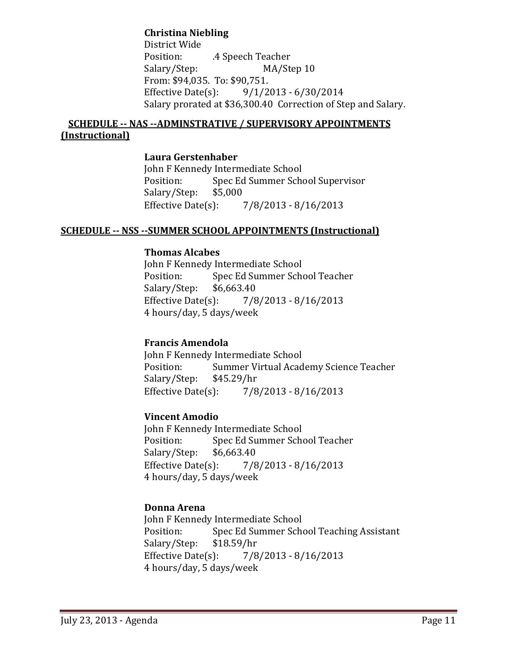### **Christina Niebling**

District Wide Position: .4 Speech Teacher Salary/Step: MA/Step 10 From: \$94,035. To: \$90,751. Effective Date(s):  $9/1/2013 - 6/30/2014$ Salary prorated at \$36,300.40 Correction of Step and Salary.

### **SCHEDULE ‐‐ NAS ‐‐ADMINSTRATIVE / SUPERVISORY APPOINTMENTS (Instructional)**

#### **Laura Gerstenhaber**

John F Kennedy Intermediate School Position: Spec Ed Summer School Supervisor Salary/Step: \$5,000 Effective Date(s):  $7/8/2013 - 8/16/2013$ 

### **SCHEDULE ‐‐ NSS ‐‐SUMMER SCHOOL APPOINTMENTS (Instructional)**

#### **Thomas Alcabes**

John F Kennedy Intermediate School Position: Spec Ed Summer School Teacher Salary/Step: \$6,663.40 Effective Date(s):  $7/8/2013 - 8/16/2013$ 4 hours/day, 5 days/week

### **Francis Amendola**

John F Kennedy Intermediate School Position: Summer Virtual Academy Science Teacher Salary/Step: \$45.29/hr Effective Date(s):  $\frac{7}{8}/2013 - \frac{8}{16}/2013$ 

### **Vincent Amodio**

John F Kennedy Intermediate School Position: Spec Ed Summer School Teacher Salary/Step: \$6,663.40 Effective Date(s):  $\frac{7}{8}/2013 - \frac{8}{16}/2013$  4 hours/day, 5 days/week

### **Donna Arena**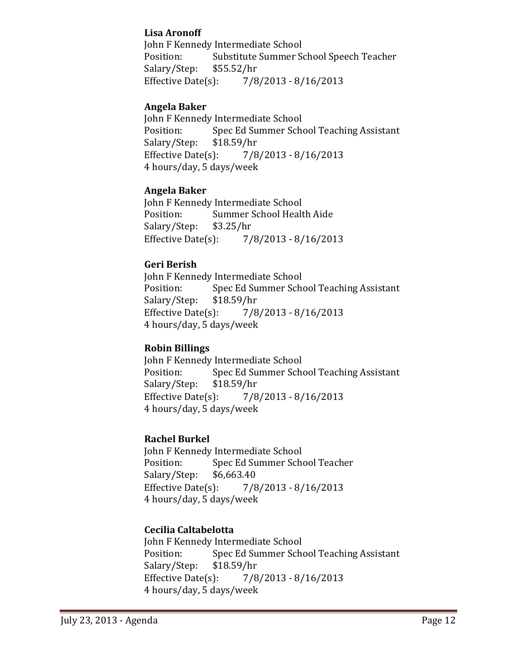### **Lisa Aronoff**

John F Kennedy Intermediate School Position: Substitute Summer School Speech Teacher Salary/Step: \$55.52/hr Effective Date(s):  $7/8/2013 - 8/16/2013$ 

### **Angela Baker**

John F Kennedy Intermediate School Position: Spec Ed Summer School Teaching Assistant Salary/Step: \$18.59/hr Effective Date(s): 7/8/2013 - 8/16/2013 4 hours/day, 5 days/week

### **Angela Baker**

John F Kennedy Intermediate School Position: Summer School Health Aide Salary/Step: \$3.25/hr Effective Date(s):  $\frac{7}{8}/2013 - \frac{8}{16}/2013$ 

### **Geri Berish**

John F Kennedy Intermediate School Position: Spec Ed Summer School Teaching Assistant Salary/Step: \$18.59/hr Effective Date(s):  $\frac{7}{8}/2013 - \frac{8}{16}/2013$ 4 hours/day, 5 days/week

### **Robin Billings**

John F Kennedy Intermediate School Position: Spec Ed Summer School Teaching Assistant Salary/Step: \$18.59/hr Effective Date(s):  $7/8/2013 - 8/16/2013$  4 hours/day, 5 days/week

### **Rachel Burkel**

John F Kennedy Intermediate School Position: Spec Ed Summer School Teacher Salary/Step: \$6,663.40 Effective Date(s):  $\frac{7}{8}/2013 - \frac{8}{16}/2013$ 4 hours/day, 5 days/week

### **Cecilia Caltabelotta**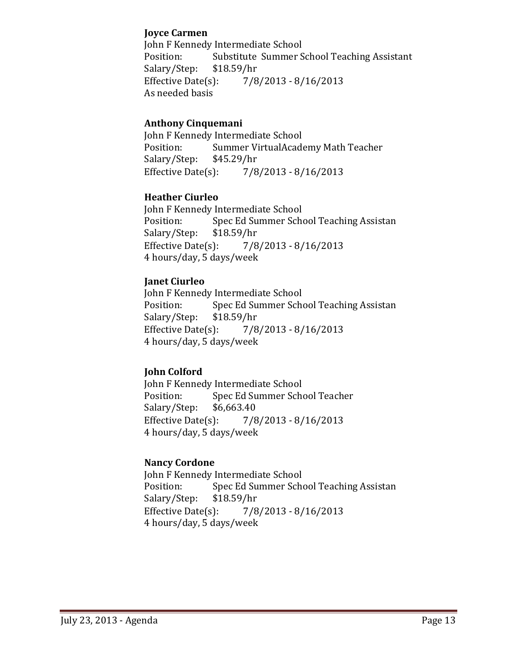### **Joyce Carmen**

John F Kennedy Intermediate School Position: Substitute Summer School Teaching Assistant Salary/Step: \$18.59/hr Effective Date(s):  $7/8/2013 - 8/16/2013$ As needed basis

### **Anthony Cinquemani**

John F Kennedy Intermediate School Position: Summer VirtualAcademy Math Teacher Salary/Step: \$45.29/hr Effective Date(s):  $\frac{7}{8}/2013 - \frac{8}{16}/2013$ 

### **Heather Ciurleo**

John F Kennedy Intermediate School Position: Spec Ed Summer School Teaching Assistan Salary/Step: \$18.59/hr Effective Date(s):  $7/8/2013 - 8/16/2013$ 4 hours/day, 5 days/week

### **Janet Ciurleo**

John F Kennedy Intermediate School Position: Spec Ed Summer School Teaching Assistan Salary/Step: \$18.59/hr Effective Date(s):  $\frac{7}{8}/2013 - \frac{8}{16}/2013$ 4 hours/day, 5 days/week

### **John Colford**

John F Kennedy Intermediate School Position: Spec Ed Summer School Teacher Salary/Step: \$6,663.40 Effective Date(s):  $\frac{7}{8}/2013 - \frac{8}{16}/2013$ 4 hours/day, 5 days/week

### **Nancy Cordone**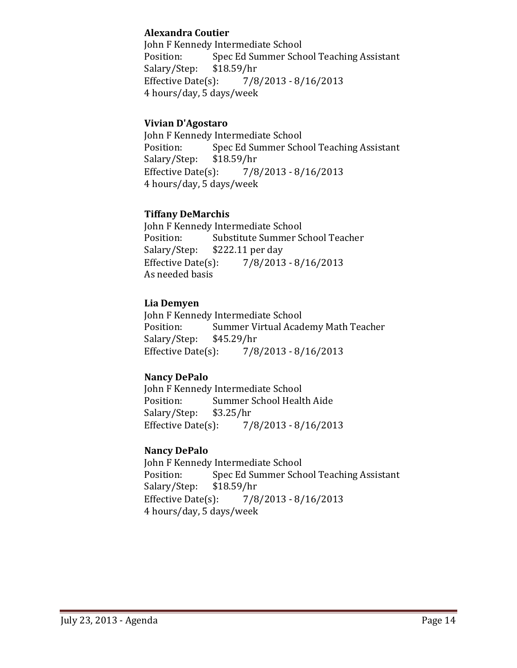### **Alexandra Coutier**

John F Kennedy Intermediate School Position: Spec Ed Summer School Teaching Assistant Salary/Step: \$18.59/hr Effective Date(s):  $\frac{7}{8}/2013 - \frac{8}{16}/2013$  4 hours/day, 5 days/week

### **Vivian D'Agostaro**

John F Kennedy Intermediate School Position: Spec Ed Summer School Teaching Assistant Salary/Step: \$18.59/hr Effective Date(s):  $\frac{7}{8}/2013 - \frac{8}{16}/2013$  4 hours/day, 5 days/week

### **Tiffany DeMarchis**

John F Kennedy Intermediate School Position: Substitute Summer School Teacher Salary/Step: \$222.11 per day Effective Date(s): 7/8/2013 - 8/16/2013 As needed basis

### **Lia Demyen**

John F Kennedy Intermediate School Position: Summer Virtual Academy Math Teacher Salary/Step: \$45.29/hr Effective Date(s):  $\frac{7}{8}/2013 - \frac{8}{16}/2013$ 

### **Nancy DePalo**

John F Kennedy Intermediate School Position: Summer School Health Aide Salary/Step: \$3.25/hr Effective Date(s):  $7/8/2013 - 8/16/2013$ 

### **Nancy DePalo**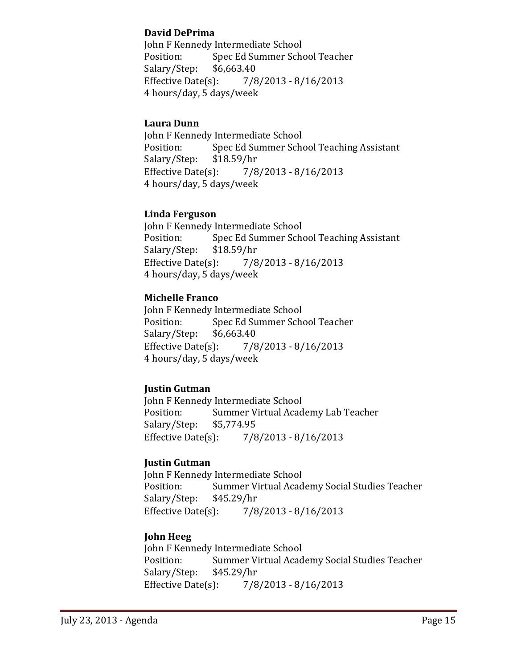### **David DePrima**

John F Kennedy Intermediate School Position: Spec Ed Summer School Teacher Salary/Step: \$6,663.40 Effective Date(s):  $7/8/2013 - 8/16/2013$  4 hours/day, 5 days/week

### **Laura Dunn**

John F Kennedy Intermediate School Position: Spec Ed Summer School Teaching Assistant Salary/Step: \$18.59/hr Effective Date(s):  $\frac{7}{8}/2013 - \frac{8}{16}/2013$  4 hours/day, 5 days/week

### **Linda Ferguson**

John F Kennedy Intermediate School Position: Spec Ed Summer School Teaching Assistant Salary/Step: \$18.59/hr Effective Date(s):  $\frac{7}{8}/2013 - \frac{8}{16}/2013$ 4 hours/day, 5 days/week

### **Michelle Franco**

John F Kennedy Intermediate School Position: Spec Ed Summer School Teacher Salary/Step: \$6,663.40 Effective Date(s):  $\frac{7}{8}/2013 - \frac{8}{16}/2013$  4 hours/day, 5 days/week

### **Justin Gutman**

John F Kennedy Intermediate School Position: Summer Virtual Academy Lab Teacher Salary/Step: \$5,774.95 Effective Date(s): 7/8/2013 - 8/16/2013

### **Justin Gutman**

John F Kennedy Intermediate School Position: Summer Virtual Academy Social Studies Teacher Salary/Step: \$45.29/hr Effective Date(s):  $\frac{7}{8}/2013 - \frac{8}{16}/2013$ 

### **John Heeg**

John F Kennedy Intermediate School Position: Summer Virtual Academy Social Studies Teacher Salary/Step: \$45.29/hr Effective Date(s):  $\frac{7}{8}/2013 - \frac{8}{16}/2013$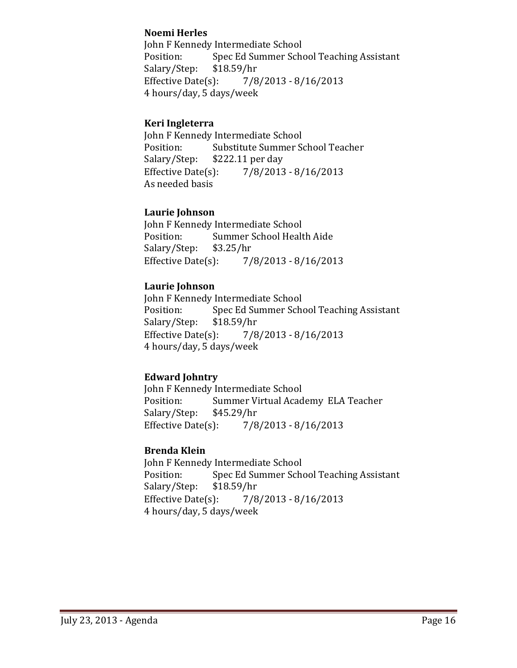### **Noemi Herles**

John F Kennedy Intermediate School Position: Spec Ed Summer School Teaching Assistant Salary/Step: \$18.59/hr Effective Date(s):  $\frac{7}{8}/2013 - \frac{8}{16}/2013$  4 hours/day, 5 days/week

### **Keri Ingleterra**

John F Kennedy Intermediate School Position: Substitute Summer School Teacher Salary/Step: \$222.11 per day Effective Date(s):  $\frac{7}{8}/2013 - \frac{8}{16}/2013$ As needed basis

### **Laurie Johnson**

John F Kennedy Intermediate School Position: Summer School Health Aide Salary/Step: \$3.25/hr Effective Date(s):  $\frac{7}{8}/2013 - \frac{8}{16}/2013$ 

### **Laurie Johnson**

John F Kennedy Intermediate School Position: Spec Ed Summer School Teaching Assistant Salary/Step: \$18.59/hr Effective Date(s):  $\frac{7}{8}/2013 - \frac{8}{16}/2013$  4 hours/day, 5 days/week

### **Edward Johntry**

John F Kennedy Intermediate School Position: Summer Virtual Academy ELA Teacher Salary/Step: \$45.29/hr Effective Date(s):  $7/8/2013 - 8/16/2013$ 

### **Brenda Klein**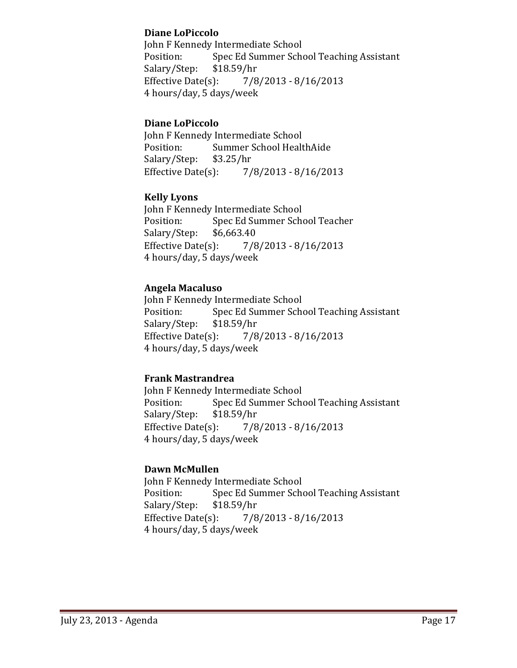### **Diane LoPiccolo**

John F Kennedy Intermediate School Position: Spec Ed Summer School Teaching Assistant Salary/Step: \$18.59/hr Effective Date(s):  $\frac{7}{8}/2013 - \frac{8}{16}/2013$  4 hours/day, 5 days/week

### **Diane LoPiccolo**

John F Kennedy Intermediate School Position: Summer School HealthAide Salary/Step: \$3.25/hr Effective Date(s):  $\frac{7}{8}/2013 - \frac{8}{16}/2013$ 

### **Kelly Lyons**

John F Kennedy Intermediate School Position: Spec Ed Summer School Teacher Salary/Step: \$6,663.40 Effective Date(s):  $7/8/2013 - 8/16/2013$  4 hours/day, 5 days/week

### **Angela Macaluso**

John F Kennedy Intermediate School Position: Spec Ed Summer School Teaching Assistant Salary/Step: \$18.59/hr Effective Date(s):  $7/8/2013 - 8/16/2013$  4 hours/day, 5 days/week

### **Frank Mastrandrea**

John F Kennedy Intermediate School Position: Spec Ed Summer School Teaching Assistant Salary/Step: \$18.59/hr Effective Date(s):  $\frac{7}{8}/2013 - \frac{8}{16}/2013$  4 hours/day, 5 days/week

### **Dawn McMullen**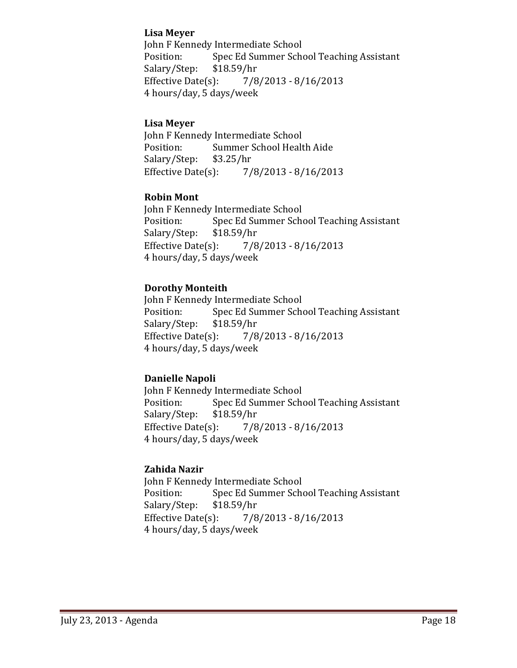### **Lisa Meyer**

John F Kennedy Intermediate School Position: Spec Ed Summer School Teaching Assistant Salary/Step: \$18.59/hr Effective Date(s):  $\frac{7}{8}/2013 - \frac{8}{16}/2013$  4 hours/day, 5 days/week

### **Lisa Meyer**

John F Kennedy Intermediate School Position: Summer School Health Aide Salary/Step: \$3.25/hr Effective Date(s):  $\frac{7}{8}/2013 - \frac{8}{16}/2013$ 

### **Robin Mont**

John F Kennedy Intermediate School Position: Spec Ed Summer School Teaching Assistant Salary/Step: \$18.59/hr Effective Date(s):  $7/8/2013 - 8/16/2013$ 4 hours/day, 5 days/week

### **Dorothy Monteith**

John F Kennedy Intermediate School Position: Spec Ed Summer School Teaching Assistant Salary/Step: \$18.59/hr Effective Date(s):  $\frac{7}{8}/2013 - \frac{8}{16}/2013$  4 hours/day, 5 days/week

### **Danielle Napoli**

John F Kennedy Intermediate School Position: Spec Ed Summer School Teaching Assistant Salary/Step: \$18.59/hr Effective Date(s):  $\frac{7}{8}/2013 - \frac{8}{16}/2013$  4 hours/day, 5 days/week

### **Zahida Nazir**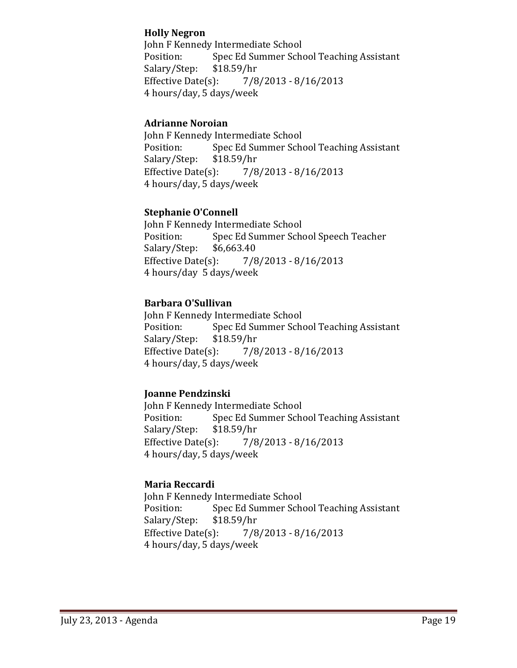### **Holly Negron**

John F Kennedy Intermediate School Position: Spec Ed Summer School Teaching Assistant Salary/Step: \$18.59/hr Effective Date(s):  $\frac{7}{8}/2013 - \frac{8}{16}/2013$  4 hours/day, 5 days/week

### **Adrianne Noroian**

John F Kennedy Intermediate School Position: Spec Ed Summer School Teaching Assistant Salary/Step: \$18.59/hr Effective Date(s):  $\frac{7}{8}/2013 - \frac{8}{16}/2013$  4 hours/day, 5 days/week

### **Stephanie O'Connell**

John F Kennedy Intermediate School Position: Spec Ed Summer School Speech Teacher Salary/Step: \$6,663.40 Effective Date(s):  $\frac{7}{8}/2013 - \frac{8}{16}/2013$ 4 hours/day 5 days/week

### **Barbara O'Sullivan**

John F Kennedy Intermediate School Position: Spec Ed Summer School Teaching Assistant Salary/Step: \$18.59/hr Effective Date(s):  $\frac{7}{8}/2013 - \frac{8}{16}/2013$ 4 hours/day, 5 days/week

### **Joanne Pendzinski**

John F Kennedy Intermediate School Position: Spec Ed Summer School Teaching Assistant Salary/Step: \$18.59/hr Effective Date(s):  $\frac{7}{8}/2013 - \frac{8}{16}/2013$  4 hours/day, 5 days/week

### **Maria Reccardi**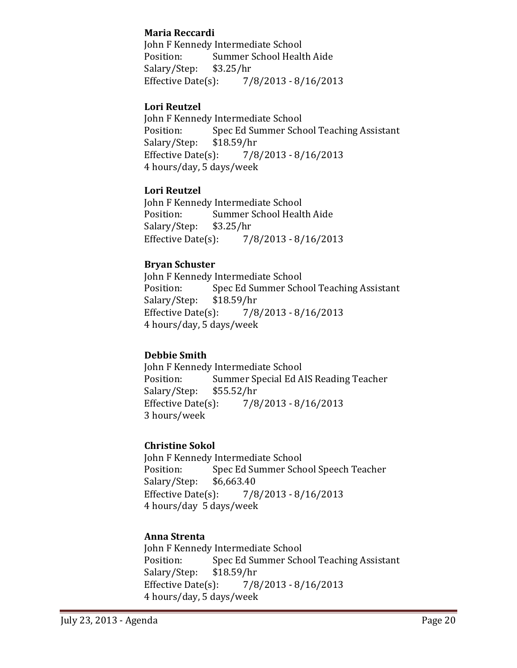### **Maria Reccardi**

John F Kennedy Intermediate School Position: Summer School Health Aide Salary/Step: \$3.25/hr Effective Date(s):  $7/8/2013 - 8/16/2013$ 

### **Lori Reutzel**

John F Kennedy Intermediate School Position: Spec Ed Summer School Teaching Assistant Salary/Step: \$18.59/hr Effective Date(s):  $\frac{7}{8}/2013 - \frac{8}{16}/2013$ 4 hours/day, 5 days/week

### **Lori Reutzel**

John F Kennedy Intermediate School Position: Summer School Health Aide Salary/Step: \$3.25/hr Effective Date(s):  $\frac{7}{8}/2013 - \frac{8}{16}/2013$ 

### **Bryan Schuster**

John F Kennedy Intermediate School Position: Spec Ed Summer School Teaching Assistant Salary/Step: \$18.59/hr Effective Date(s):  $\frac{7}{8}/2013 - \frac{8}{16}/2013$ 4 hours/day, 5 days/week

### **Debbie Smith**

John F Kennedy Intermediate School Position: Summer Special Ed AIS Reading Teacher Salary/Step: \$55.52/hr Effective Date(s):  $\frac{7}{8}/2013 - \frac{8}{16}/2013$  3 hours/week

### **Christine Sokol**

John F Kennedy Intermediate School Position: Spec Ed Summer School Speech Teacher Salary/Step: \$6,663.40 Effective Date(s):  $\frac{7}{8}/2013 - \frac{8}{16}/2013$ 4 hours/day 5 days/week

### **Anna Strenta**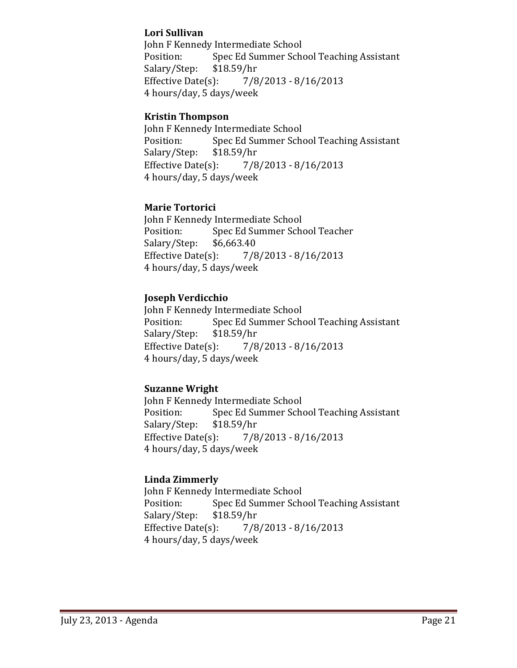### **Lori Sullivan**

John F Kennedy Intermediate School Position: Spec Ed Summer School Teaching Assistant Salary/Step: \$18.59/hr Effective Date(s):  $\frac{7}{8}/2013 - \frac{8}{16}/2013$  4 hours/day, 5 days/week 

### **Kristin Thompson**

John F Kennedy Intermediate School Position: Spec Ed Summer School Teaching Assistant Salary/Step: \$18.59/hr Effective Date(s):  $7/8/2013 - 8/16/2013$ 4 hours/day, 5 days/week

### **Marie Tortorici**

John F Kennedy Intermediate School Position: Spec Ed Summer School Teacher Salary/Step: \$6,663.40 Effective Date(s):  $\frac{7}{8}/2013 - \frac{8}{16}/2013$ 4 hours/day, 5 days/week

### **Joseph Verdicchio**

John F Kennedy Intermediate School Position: Spec Ed Summer School Teaching Assistant Salary/Step: \$18.59/hr Effective Date(s):  $7/8/2013 - 8/16/2013$ 4 hours/day, 5 days/week

### **Suzanne Wright**

John F Kennedy Intermediate School Position: Spec Ed Summer School Teaching Assistant Salary/Step: \$18.59/hr Effective Date(s):  $7/8/2013 - 8/16/2013$ 4 hours/day, 5 days/week

### **Linda Zimmerly**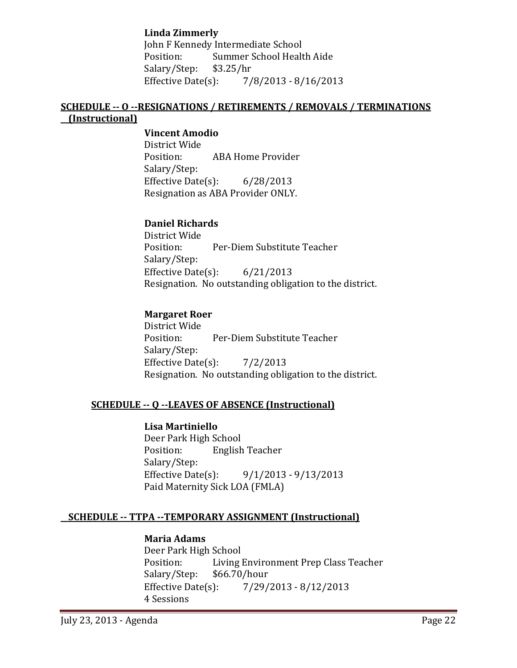### **Linda Zimmerly**

John F Kennedy Intermediate School Position: Summer School Health Aide Salary/Step: \$3.25/hr Effective Date(s):  $7/8/2013 - 8/16/2013$ 

### **SCHEDULE ‐‐ O ‐‐RESIGNATIONS / RETIREMENTS / REMOVALS / TERMINATIONS (Instructional)**

### **Vincent Amodio**

District Wide Position: ABA Home Provider Salary/Step: Effective Date(s):  $6/28/2013$ Resignation as ABA Provider ONLY.

### **Daniel Richards**

District Wide Position: Per-Diem Substitute Teacher Salary/Step: Effective Date(s):  $6/21/2013$ Resignation. No outstanding obligation to the district.

### **Margaret Roer**

District Wide Position: Per-Diem Substitute Teacher Salary/Step: Effective Date(s):  $7/2/2013$ Resignation. No outstanding obligation to the district.

### **SCHEDULE ‐‐ Q ‐‐LEAVES OF ABSENCE (Instructional)**

### **Lisa Martiniello**

Deer Park High School Position: English Teacher Salary/Step: Effective Date(s):  $9/1/2013 - 9/13/2013$ Paid Maternity Sick LOA (FMLA)

### **SCHEDULE ‐‐ TTPA ‐‐TEMPORARY ASSIGNMENT (Instructional)**

### **Maria Adams**

Deer Park High School Position: Living Environment Prep Class Teacher Salary/Step: \$66.70/hour Effective Date(s):  $\frac{7}{29/2013} - \frac{8}{12/2013}$  4 Sessions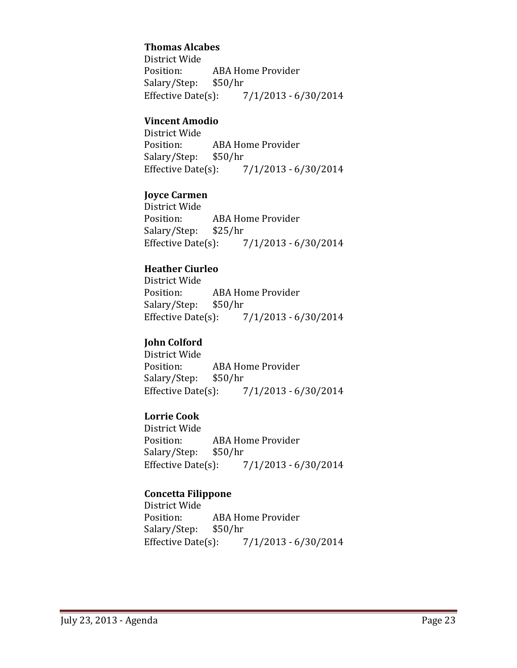#### **Thomas Alcabes**

District Wide Position: ABA Home Provider Salary/Step: \$50/hr Effective Date(s):  $\frac{7}{1/2013} - \frac{6}{30/2014}$ 

#### **Vincent Amodio**

District Wide Position: ABA Home Provider Salary/Step: \$50/hr Effective Date(s):  $\frac{7}{1/2013} - \frac{6}{30/2014}$ 

### **Joyce Carmen**

District Wide Position: ABA Home Provider Salary/Step: \$25/hr Effective Date(s):  $\frac{7}{1/2013} - \frac{6}{30/2014}$ 

#### **Heather Ciurleo**

District Wide Position: ABA Home Provider Salary/Step: \$50/hr Effective Date(s):  $\frac{7}{1/2013} - \frac{6}{30/2014}$ 

#### **John Colford**

District Wide Position: ABA Home Provider Salary/Step: \$50/hr Effective Date(s):  $\frac{7}{1/2013} - \frac{6}{30/2014}$ 

### **Lorrie Cook**

District Wide Position: ABA Home Provider Salary/Step: \$50/hr Effective Date(s):  $\frac{7}{1/2013} - \frac{6}{30/2014}$ 

### **Concetta Filippone**

District Wide Position: ABA Home Provider Salary/Step: \$50/hr Effective Date(s):  $\frac{7}{1/2013} - \frac{6}{30/2014}$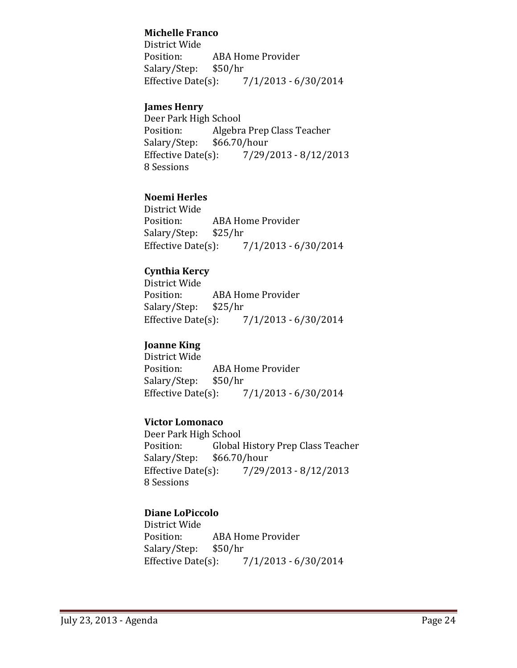### **Michelle Franco**

District Wide Position: ABA Home Provider Salary/Step: \$50/hr Effective Date(s):  $\frac{7}{1/2013} - \frac{6}{30/2014}$ 

### **James Henry**

Deer Park High School Position: Algebra Prep Class Teacher Salary/Step: \$66.70/hour Effective Date(s):  $\frac{7}{29/2013} - \frac{8}{12/2013}$  8 Sessions

### **Noemi Herles**

District Wide Position: ABA Home Provider Salary/Step: \$25/hr Effective Date(s):  $7/1/2013 - 6/30/2014$ 

### **Cynthia Kercy**

District Wide Position: ABA Home Provider Salary/Step: \$25/hr Effective Date(s):  $\frac{7}{1/2013} - \frac{6}{30/2014}$ 

### **Joanne King**

District Wide Position: ABA Home Provider Salary/Step: \$50/hr Effective Date(s):  $\frac{7}{1/2013} - \frac{6}{30/2014}$ 

### **Victor Lomonaco**

Deer Park High School Position: Global History Prep Class Teacher Salary/Step: \$66.70/hour Effective Date(s):  $7/29/2013 - 8/12/2013$  8 Sessions

### **Diane LoPiccolo**

District Wide Position: ABA Home Provider Salary/Step: \$50/hr Effective Date(s):  $\frac{7}{1/2013} - \frac{6}{30/2014}$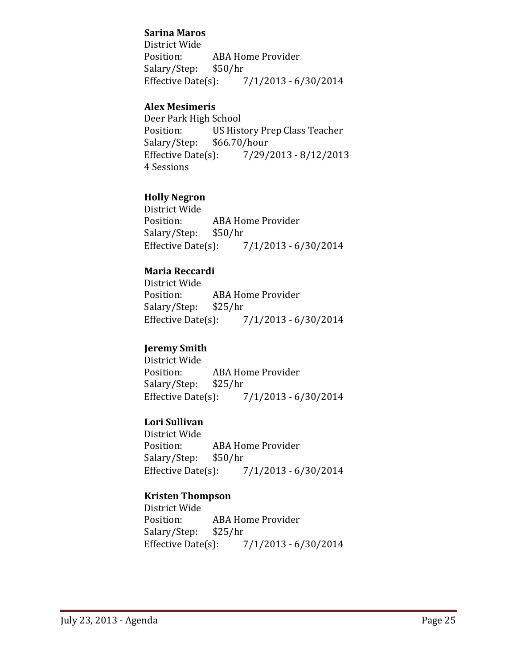### **Sarina Maros**

District Wide Position: ABA Home Provider Salary/Step: \$50/hr Effective Date(s):  $\frac{7}{1/2013} - \frac{6}{30/2014}$ 

### **Alex Mesimeris**

Deer Park High School Position: US History Prep Class Teacher Salary/Step: \$66.70/hour Effective Date(s):  $7/29/2013 - 8/12/2013$  4 Sessions

### **Holly Negron**

District Wide Position: ABA Home Provider Salary/Step: \$50/hr Effective Date(s):  $\frac{7}{1/2013} - \frac{6}{30/2014}$ 

### **Maria Reccardi**

District Wide Position: ABA Home Provider Salary/Step: \$25/hr Effective Date(s):  $\frac{7}{1/2013} - \frac{6}{30/2014}$ 

### **Jeremy Smith**

District Wide Position: ABA Home Provider Salary/Step: \$25/hr Effective Date(s):  $\frac{7}{1/2013} - \frac{6}{30/2014}$ 

### **Lori Sullivan**

District Wide Position: ABA Home Provider Salary/Step: \$50/hr Effective Date(s):  $\frac{7}{1/2013} - \frac{6}{30/2014}$ 

### **Kristen Thompson**

District Wide Position: ABA Home Provider Salary/Step: \$25/hr Effective Date(s):  $\frac{7}{1/2013} - \frac{6}{30/2014}$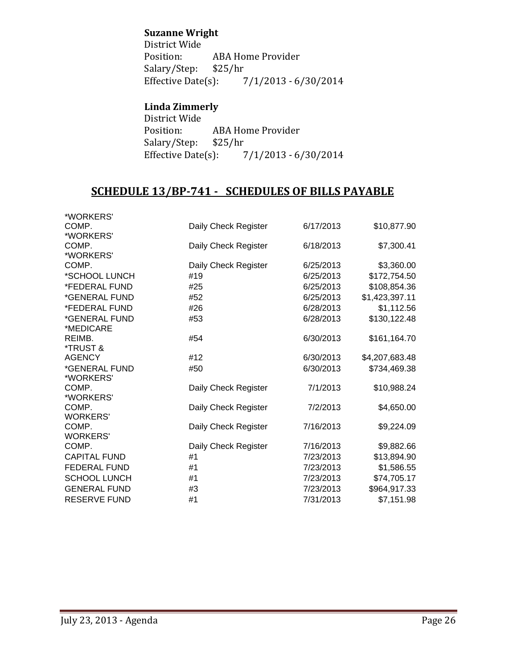### **Suzanne Wright**

District Wide Position: ABA Home Provider Salary/Step: \$25/hr Effective Date(s):  $7/1/2013 - 6/30/2014$ 

# **Linda Zimmerly**

District Wide Position: ABA Home Provider<br>Salary/Step: \$25/hr Salary/Step: Effective Date(s):  $7/1/2013 - 6/30/2014$ 

# **SCHEDULE 13/BP‐741 ‐ SCHEDULES OF BILLS PAYABLE**

| *WORKERS'           |                      |           |                |
|---------------------|----------------------|-----------|----------------|
| COMP.               | Daily Check Register | 6/17/2013 | \$10,877.90    |
| *WORKERS'           |                      |           |                |
| COMP.               | Daily Check Register | 6/18/2013 | \$7,300.41     |
| *WORKERS'           |                      |           |                |
| COMP.               | Daily Check Register | 6/25/2013 | \$3,360.00     |
| *SCHOOL LUNCH       | #19                  | 6/25/2013 | \$172,754.50   |
| *FEDERAL FUND       | #25                  | 6/25/2013 | \$108,854.36   |
| *GENERAL FUND       | #52                  | 6/25/2013 | \$1,423,397.11 |
| *FEDERAL FUND       | #26                  | 6/28/2013 | \$1,112.56     |
| *GENERAL FUND       | #53                  | 6/28/2013 | \$130,122.48   |
| *MEDICARE           |                      |           |                |
| REIMB.              | #54                  | 6/30/2013 | \$161,164.70   |
| *TRUST &            |                      |           |                |
| <b>AGENCY</b>       | #12                  | 6/30/2013 | \$4,207,683.48 |
| *GENERAL FUND       | #50                  | 6/30/2013 | \$734,469.38   |
| *WORKERS'           |                      |           |                |
| COMP.               | Daily Check Register | 7/1/2013  | \$10,988.24    |
| *WORKERS'           |                      |           |                |
| COMP.               | Daily Check Register | 7/2/2013  | \$4,650.00     |
| <b>WORKERS'</b>     |                      |           |                |
| COMP.               | Daily Check Register | 7/16/2013 | \$9,224.09     |
| <b>WORKERS'</b>     |                      |           |                |
| COMP.               | Daily Check Register | 7/16/2013 | \$9,882.66     |
| <b>CAPITAL FUND</b> | #1                   | 7/23/2013 | \$13,894.90    |
| <b>FEDERAL FUND</b> | #1                   | 7/23/2013 | \$1,586.55     |
| <b>SCHOOL LUNCH</b> | #1                   | 7/23/2013 | \$74,705.17    |
| <b>GENERAL FUND</b> | #3                   | 7/23/2013 | \$964,917.33   |
| <b>RESERVE FUND</b> | #1                   | 7/31/2013 | \$7,151.98     |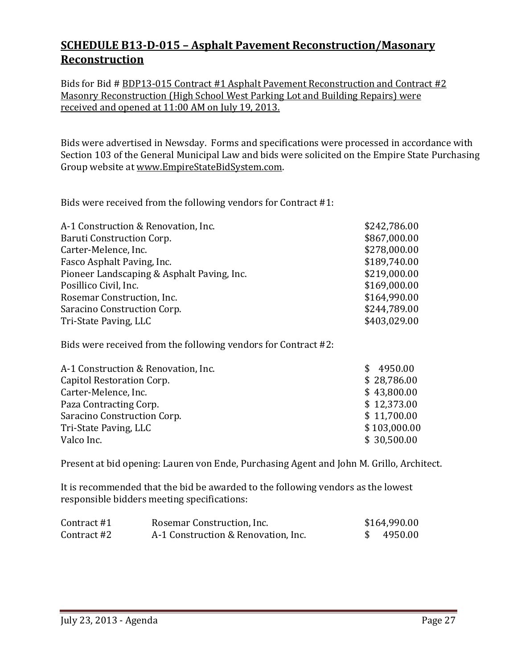# **SCHEDULE B13‐D‐015 – Asphalt Pavement Reconstruction/Masonary Reconstruction**

Bids for Bid # BDP13-015 Contract #1 Asphalt Pavement Reconstruction and Contract #2 Masonry Reconstruction (High School West Parking Lot and Building Repairs) were received and opened at 11:00 AM on July 19, 2013.

Bids were advertised in Newsday. Forms and specifications were processed in accordance with Section 103 of the General Municipal Law and bids were solicited on the Empire State Purchasing Group website at www.EmpireStateBidSystem.com.

Bids were received from the following vendors for Contract  $#1$ :

| A-1 Construction & Renovation, Inc.        | \$242,786.00 |
|--------------------------------------------|--------------|
| Baruti Construction Corp.                  | \$867,000.00 |
| Carter-Melence, Inc.                       | \$278,000.00 |
| Fasco Asphalt Paving, Inc.                 | \$189,740.00 |
| Pioneer Landscaping & Asphalt Paving, Inc. | \$219,000.00 |
| Posillico Civil, Inc.                      | \$169,000.00 |
| Rosemar Construction, Inc.                 | \$164,990.00 |
| Saracino Construction Corp.                | \$244,789.00 |
| Tri-State Paving, LLC                      | \$403,029.00 |

Bids were received from the following vendors for Contract  $#2$ :

| A-1 Construction & Renovation, Inc. | 4950.00      |
|-------------------------------------|--------------|
| Capitol Restoration Corp.           | \$28,786.00  |
| Carter-Melence, Inc.                | \$43,800.00  |
| Paza Contracting Corp.              | \$12,373.00  |
| Saracino Construction Corp.         | \$11,700.00  |
| Tri-State Paving, LLC               | \$103,000.00 |
| Valco Inc.                          | \$30,500.00  |

Present at bid opening: Lauren von Ende, Purchasing Agent and John M. Grillo, Architect.

It is recommended that the bid be awarded to the following vendors as the lowest responsible bidders meeting specifications:

| Contract #1 | Rosemar Construction, Inc.          | \$164,990.00 |
|-------------|-------------------------------------|--------------|
| Contract #2 | A-1 Construction & Renovation, Inc. | 4950.00      |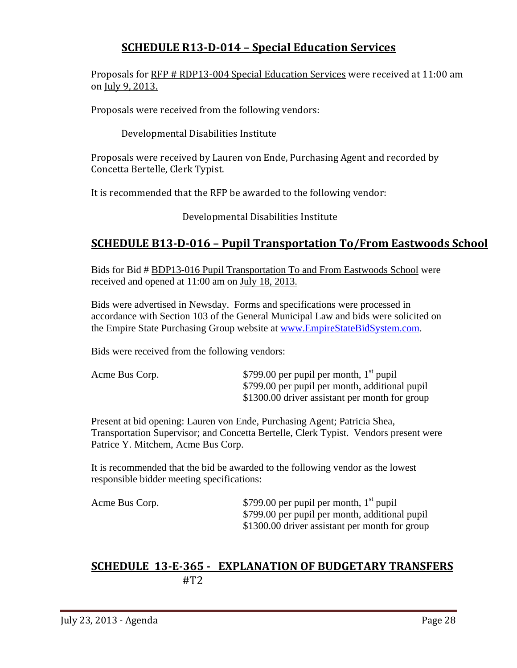# **SCHEDULE R13‐D‐014 – Special Education Services**

Proposals for RFP # RDP13-004 Special Education Services were received at 11:00 am on July 9, 2013.

Proposals were received from the following vendors:

Developmental Disabilities Institute

Proposals were received by Lauren von Ende, Purchasing Agent and recorded by Concetta Bertelle, Clerk Typist. 

It is recommended that the RFP be awarded to the following vendor:

Developmental Disabilities Institute

### **SCHEDULE B13‐D‐016 – Pupil Transportation To/From Eastwoods School**

Bids for Bid # BDP13-016 Pupil Transportation To and From Eastwoods School were received and opened at 11:00 am on July 18, 2013.

 Bids were advertised in Newsday. Forms and specifications were processed in accordance with Section 103 of the General Municipal Law and bids were solicited on the Empire State Purchasing Group website at www.EmpireStateBidSystem.com.

Bids were received from the following vendors:

| Acme Bus Corp. | \$799.00 per pupil per month, $1st$ pupil      |
|----------------|------------------------------------------------|
|                | \$799.00 per pupil per month, additional pupil |
|                | \$1300.00 driver assistant per month for group |

 Present at bid opening: Lauren von Ende, Purchasing Agent; Patricia Shea, Transportation Supervisor; and Concetta Bertelle, Clerk Typist. Vendors present were Patrice Y. Mitchem, Acme Bus Corp.

 It is recommended that the bid be awarded to the following vendor as the lowest responsible bidder meeting specifications:

| Acme Bus Corp. | \$799.00 per pupil per month, $1st$ pupil      |
|----------------|------------------------------------------------|
|                | \$799.00 per pupil per month, additional pupil |
|                | \$1300.00 driver assistant per month for group |

# **SCHEDULE 13‐E‐365 ‐ EXPLANATION OF BUDGETARY TRANSFERS** #T2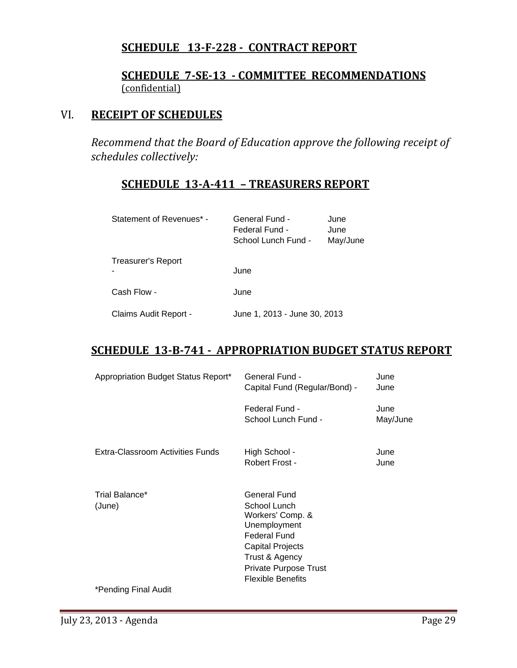# **SCHEDULE 13‐F‐228 ‐ CONTRACT REPORT**

## **SCHEDULE 7‐SE‐13 ‐ COMMITTEE RECOMMENDATIONS** (confidential)

# VI. **RECEIPT OF SCHEDULES**

*Recommend that the Board of Education approve the following receipt of schedules collectively:*

# **SCHEDULE 13‐A‐411 – TREASURERS REPORT**

| Statement of Revenues* -                    | General Fund -<br>Federal Fund -<br>School Lunch Fund - | June<br>June<br>May/June |
|---------------------------------------------|---------------------------------------------------------|--------------------------|
| <b>Treasurer's Report</b><br>$\blacksquare$ | June                                                    |                          |
| Cash Flow -                                 | June                                                    |                          |
| Claims Audit Report -                       | June 1, 2013 - June 30, 2013                            |                          |

# **SCHEDULE 13‐B‐741 ‐ APPROPRIATION BUDGET STATUS REPORT**

| Appropriation Budget Status Report*                               | General Fund -<br>Capital Fund (Regular/Bond) -                                                                                                                                                  | June<br>June     |
|-------------------------------------------------------------------|--------------------------------------------------------------------------------------------------------------------------------------------------------------------------------------------------|------------------|
|                                                                   | Federal Fund -<br>School Lunch Fund -                                                                                                                                                            | June<br>May/June |
| Extra-Classroom Activities Funds                                  | High School -<br>Robert Frost -                                                                                                                                                                  | June<br>June     |
| Trial Balance*<br>(June)<br>4 D. L. J. L. L. L. L. L. L. J. J. L. | General Fund<br>School Lunch<br>Workers' Comp. &<br>Unemployment<br><b>Federal Fund</b><br><b>Capital Projects</b><br>Trust & Agency<br><b>Private Purpose Trust</b><br><b>Flexible Benefits</b> |                  |

\*Pending Final Audit